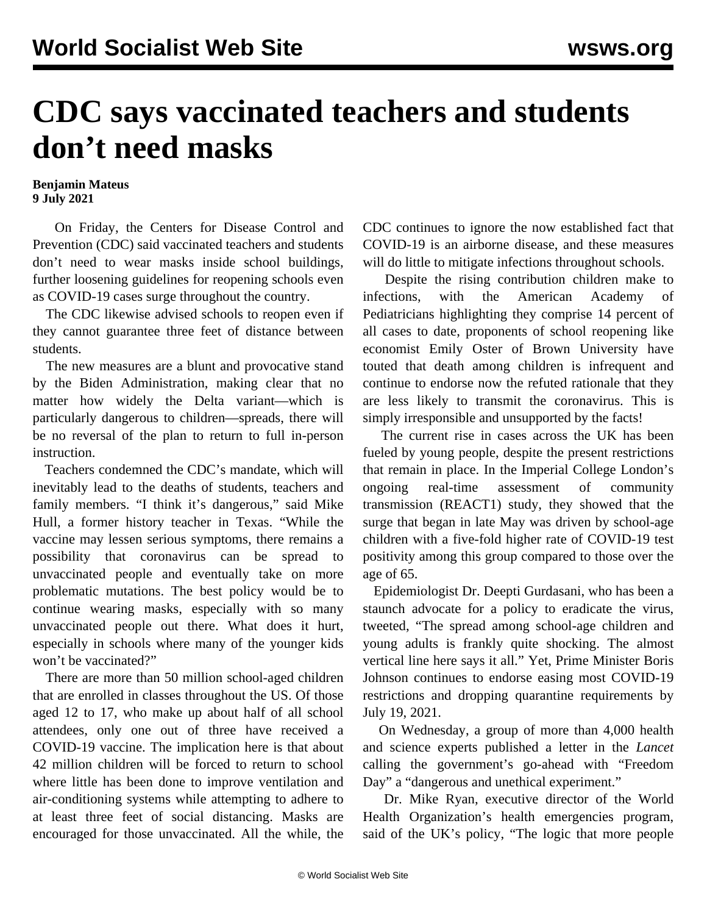## **CDC says vaccinated teachers and students don't need masks**

## **Benjamin Mateus 9 July 2021**

 On Friday, the Centers for Disease Control and Prevention (CDC) said vaccinated teachers and students don't need to wear masks inside school buildings, further loosening guidelines for reopening schools even as COVID-19 cases surge throughout the country.

 The CDC likewise advised schools to reopen even if they cannot guarantee three feet of distance between students.

 The new measures are a blunt and provocative stand by the Biden Administration, making clear that no matter how widely the Delta variant—which is particularly dangerous to children—spreads, there will be no reversal of the plan to return to full in-person instruction.

 Teachers condemned the CDC's mandate, which will inevitably lead to the deaths of students, teachers and family members. "I think it's dangerous," said Mike Hull, a former history teacher in Texas. "While the vaccine may lessen serious symptoms, there remains a possibility that coronavirus can be spread to unvaccinated people and eventually take on more problematic mutations. The best policy would be to continue wearing masks, especially with so many unvaccinated people out there. What does it hurt, especially in schools where many of the younger kids won't be vaccinated?"

 There are more than 50 million [school-aged children](https://www.childstats.gov/americaschildren/tables/pop1.asp) that are enrolled in classes throughout the US. Of those aged 12 to 17, who make up about half of all school attendees, only one out of three have received a COVID-19 vaccine. The implication here is that about 42 million children will be forced to return to school where little has been done to improve ventilation and air-conditioning systems while attempting to adhere to at least three feet of social distancing. Masks are encouraged for those unvaccinated. All the while, the

CDC continues to ignore the now established fact that COVID-19 is an airborne disease, and these measures will do little to mitigate infections throughout schools.

 Despite the rising contribution children make to infections, with the American Academy of Pediatricians highlighting they comprise 14 percent of all cases to date, proponents of school reopening like economist Emily Oster of Brown University have touted that death among children is infrequent and continue to endorse now the refuted rationale that they are less likely to transmit the coronavirus. This is simply irresponsible and unsupported by the facts!

 The current rise in cases across the UK has been fueled by young people, despite the present restrictions that remain in place. In the Imperial College London's ongoing real-time assessment of community transmission (REACT1) study, they showed that the surge that began in late May was driven by school-age children with a five-fold higher rate of COVID-19 test positivity among this group compared to those over the age of 65.

 Epidemiologist Dr. Deepti Gurdasani, who has been a staunch advocate for a policy to eradicate the virus, tweeted, "The spread among school-age children and young adults is frankly quite shocking. The almost vertical line here says it all." Yet, Prime Minister Boris Johnson continues to endorse easing most COVID-19 restrictions and dropping quarantine requirements by July 19, 2021.

 On Wednesday, a group of more than 4,000 health and science experts published a letter in the *Lancet* calling the government's go-ahead with "Freedom Day" a "dangerous and unethical experiment."

 Dr. Mike Ryan, executive director of the World Health Organization's health emergencies program, said of the UK's policy, "The logic that more people